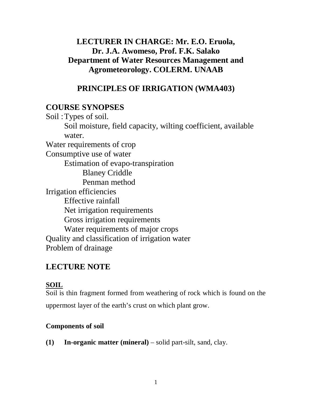# **LECTURER IN CHARGE: Mr. E.O. Eruola, Dr. J.A. Awomeso, Prof. F.K. Salako Department of Water Resources Management and Agrometeorology. COLERM. UNAAB**

# **PRINCIPLES OF IRRIGATION (WMA403)**

# **COURSE SYNOPSES**

Soil: Types of soil. Soil moisture, field capacity, wilting coefficient, available water. Water requirements of crop Consumptive use of water Estimation of evapo-transpiration Blaney Criddle Penman method Irrigation efficiencies Effective rainfall Net irrigation requirements Gross irrigation requirements Water requirements of major crops Quality and classification of irrigation water Problem of drainage

# **LECTURE NOTE**

# **SOIL**

Soil is thin fragment formed from weathering of rock which is found on the uppermost layer of the earth's crust on which plant grow.

# **Components of soil**

**(1) In-organic matter (mineral)** – solid part-silt, sand, clay.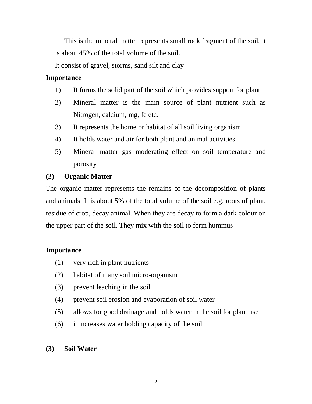This is the mineral matter represents small rock fragment of the soil, it is about 45% of the total volume of the soil.

It consist of gravel, storms, sand silt and clay

### **Importance**

- 1) It forms the solid part of the soil which provides support for plant
- 2) Mineral matter is the main source of plant nutrient such as Nitrogen, calcium, mg, fe etc.
- 3) It represents the home or habitat of all soil living organism
- 4) It holds water and air for both plant and animal activities
- 5) Mineral matter gas moderating effect on soil temperature and porosity

## **(2) Organic Matter**

The organic matter represents the remains of the decomposition of plants and animals. It is about 5% of the total volume of the soil e.g. roots of plant, residue of crop, decay animal. When they are decay to form a dark colour on the upper part of the soil. They mix with the soil to form hummus

## **Importance**

- (1) very rich in plant nutrients
- (2) habitat of many soil micro-organism
- (3) prevent leaching in the soil
- (4) prevent soil erosion and evaporation of soil water
- (5) allows for good drainage and holds water in the soil for plant use
- (6) it increases water holding capacity of the soil
- **(3) Soil Water**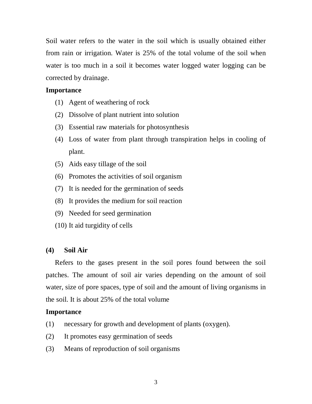Soil water refers to the water in the soil which is usually obtained either from rain or irrigation. Water is 25% of the total volume of the soil when water is too much in a soil it becomes water logged water logging can be corrected by drainage.

#### **Importance**

- (1) Agent of weathering of rock
- (2) Dissolve of plant nutrient into solution
- (3) Essential raw materials for photosynthesis
- (4) Loss of water from plant through transpiration helps in cooling of plant.
- (5) Aids easy tillage of the soil
- (6) Promotes the activities of soil organism
- (7) It is needed for the germination of seeds
- (8) It provides the medium for soil reaction
- (9) Needed for seed germination
- (10) It aid turgidity of cells

#### **(4) Soil Air**

 Refers to the gases present in the soil pores found between the soil patches. The amount of soil air varies depending on the amount of soil water, size of pore spaces, type of soil and the amount of living organisms in the soil. It is about 25% of the total volume

#### **Importance**

- (1) necessary for growth and development of plants (oxygen).
- (2) It promotes easy germination of seeds
- (3) Means of reproduction of soil organisms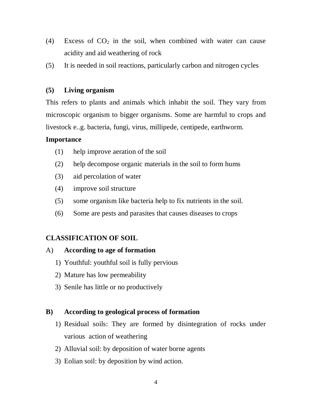- (4) Excess of  $CO<sub>2</sub>$  in the soil, when combined with water can cause acidity and aid weathering of rock
- (5) It is needed in soil reactions, particularly carbon and nitrogen cycles

### **(5) Living organism**

This refers to plants and animals which inhabit the soil. They vary from microscopic organism to bigger organisms. Some are harmful to crops and livestock e..g. bacteria, fungi, virus, millipede, centipede, earthworm.

### **Importance**

- (1) help improve aeration of the soil
- (2) help decompose organic materials in the soil to form hums
- (3) aid percolation of water
- (4) improve soil structure
- (5) some organism like bacteria help to fix nutrients in the soil.
- (6) Some are pests and parasites that causes diseases to crops

# **CLASSIFICATION OF SOIL**

### A) **According to age of formation**

- 1) Youthful: youthful soil is fully pervious
- 2) Mature has low permeability
- 3) Senile has little or no productively

## **B) According to geological process of formation**

- 1) Residual soils: They are formed by disintegration of rocks under various action of weathering
- 2) Alluvial soil: by deposition of water borne agents
- 3) Eolian soil: by deposition by wind action.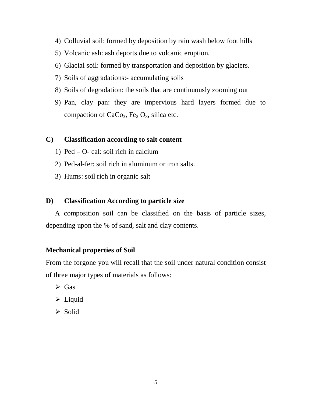- 4) Colluvial soil: formed by deposition by rain wash below foot hills
- 5) Volcanic ash: ash deports due to volcanic eruption.
- 6) Glacial soil: formed by transportation and deposition by glaciers.
- 7) Soils of aggradations:- accumulating soils
- 8) Soils of degradation: the soils that are continuously zooming out
- 9) Pan, clay pan: they are impervious hard layers formed due to compaction of  $CaCo<sub>3</sub>$ , Fe<sub>2</sub>  $O<sub>3</sub>$ , silica etc.

### **C) Classification according to salt content**

- 1) Ped O- cal: soil rich in calcium
- 2) Ped-al-fer: soil rich in aluminum or iron salts.
- 3) Hums: soil rich in organic salt

#### **D) Classification According to particle size**

 A composition soil can be classified on the basis of particle sizes, depending upon the % of sand, salt and clay contents.

#### **Mechanical properties of Soil**

From the forgone you will recall that the soil under natural condition consist of three major types of materials as follows:

- $\triangleright$  Gas
- $\triangleright$  Liquid
- $\triangleright$  Solid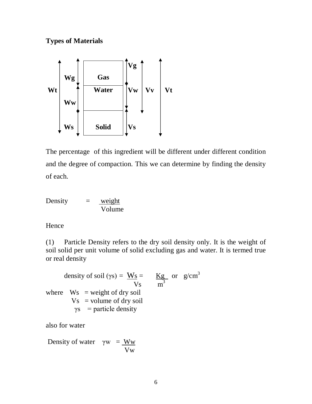### **Types of Materials**



The percentage of this ingredient will be different under different condition and the degree of compaction. This we can determine by finding the density of each.

Density  $=$  weight Volume

#### Hence

(1) Particle Density refers to the dry soil density only. It is the weight of soil solid per unit volume of solid excluding gas and water. It is termed true or real density

density of soil (γs) =  $\frac{W_s}{W_s}$  =  $\frac{Kg}{g}$  or  $g/cm^3$  $Vs$  m<sup>3</sup> where  $Ws = weight of dry soil$  $Vs = volume of dry soil$  $\gamma s$  = particle density

also for water

Density of water  $\gamma w = \frac{Ww}{W}$ Vw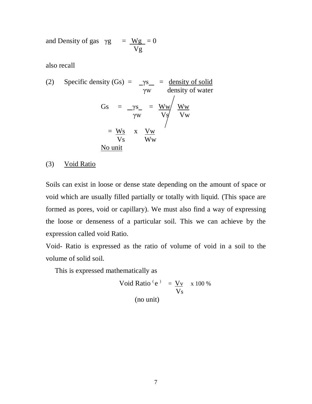and Density of gas  $\gamma g = Wg = 0$ Vg

also recall

(2) Specific density (Gs) = 
$$
-\gamma s
$$
 = density of solid  
\n $\gamma w$  density of water  
\n  
\nGs =  $-\gamma s$  =  $\frac{Ww}{\gamma w}$   $\frac{Ww}{Vw}$   
\n=  $\frac{Ws}{Vs}$  x  $\frac{Vw}{Ww}$   
\nNo unit

(3) Void Ratio

Soils can exist in loose or dense state depending on the amount of space or void which are usually filled partially or totally with liquid. (This space are formed as pores, void or capillary). We must also find a way of expressing the loose or denseness of a particular soil. This we can achieve by the expression called void Ratio.

Void- Ratio is expressed as the ratio of volume of void in a soil to the volume of solid soil.

This is expressed mathematically as

Void Ratio  $(e^x) = V_y$  x 100 % Vs (no unit)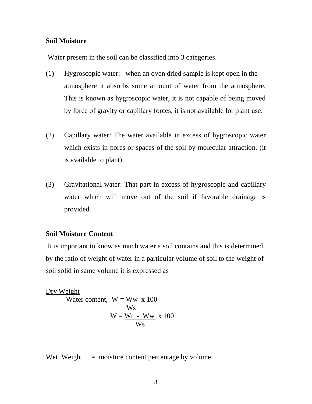#### **Soil Moisture**

Water present in the soil can be classified into 3 categories.

- (1) Hygroscopic water: when an oven dried sample is kept open in the atmosphere it absorbs some amount of water from the atmosphere. This is known as hygroscopic water, it is not capable of being moved by force of gravity or capillary forces, it is not available for plant use.
- (2) Capillary water: The water available in excess of hygroscopic water which exists in pores or spaces of the soil by molecular attraction. (it is available to plant)
- (3) Gravitational water: That part in excess of hygroscopic and capillary water which will move out of the soil if favorable drainage is provided.

#### **Soil Moisture Content**

It is important to know as much water a soil contains and this is determined by the ratio of weight of water in a particular volume of soil to the weight of soil solid in same volume it is expressed as

Dry Weight Water content,  $W = Ww x 100$  Ws  $W = Wt - Ww$  x 100 Ws

Wet Weight  $=$  moisture content percentage by volume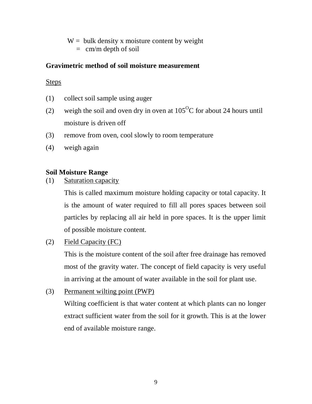$W =$  bulk density x moisture content by weight

 $=$  cm/m depth of soil

### **Gravimetric method of soil moisture measurement**

Steps

- (1) collect soil sample using auger
- (2) weigh the soil and oven dry in oven at  $105^{\circ}$ C for about 24 hours until moisture is driven off
- (3) remove from oven, cool slowly to room temperature
- (4) weigh again

## **Soil Moisture Range**

(1) Saturation capacity

This is called maximum moisture holding capacity or total capacity. It is the amount of water required to fill all pores spaces between soil particles by replacing all air held in pore spaces. It is the upper limit of possible moisture content.

(2) Field Capacity (FC)

This is the moisture content of the soil after free drainage has removed most of the gravity water. The concept of field capacity is very useful in arriving at the amount of water available in the soil for plant use.

(3) Permanent wilting point (PWP)

Wilting coefficient is that water content at which plants can no longer extract sufficient water from the soil for it growth. This is at the lower end of available moisture range.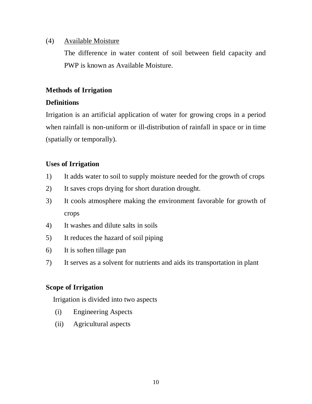#### (4) Available Moisture

The difference in water content of soil between field capacity and PWP is known as Available Moisture.

### **Methods of Irrigation**

### **Definitions**

Irrigation is an artificial application of water for growing crops in a period when rainfall is non-uniform or ill-distribution of rainfall in space or in time (spatially or temporally).

### **Uses of Irrigation**

- 1) It adds water to soil to supply moisture needed for the growth of crops
- 2) It saves crops drying for short duration drought.
- 3) It cools atmosphere making the environment favorable for growth of crops
- 4) It washes and dilute salts in soils
- 5) It reduces the hazard of soil piping
- 6) It is soften tillage pan
- 7) It serves as a solvent for nutrients and aids its transportation in plant

## **Scope of Irrigation**

Irrigation is divided into two aspects

- (i) Engineering Aspects
- (ii) Agricultural aspects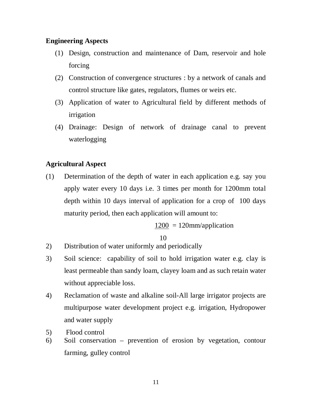#### **Engineering Aspects**

- (1) Design, construction and maintenance of Dam, reservoir and hole forcing
- (2) Construction of convergence structures : by a network of canals and control structure like gates, regulators, flumes or weirs etc.
- (3) Application of water to Agricultural field by different methods of irrigation
- (4) Drainage: Design of network of drainage canal to prevent waterlogging

### **Agricultural Aspect**

(1) Determination of the depth of water in each application e.g. say you apply water every 10 days i.e. 3 times per month for 1200mm total depth within 10 days interval of application for a crop of 100 days maturity period, then each application will amount to:

 $1200 = 120$ mm/application

10

- 2) Distribution of water uniformly and periodically
- 3) Soil science: capability of soil to hold irrigation water e.g. clay is least permeable than sandy loam, clayey loam and as such retain water without appreciable loss.
- 4) Reclamation of waste and alkaline soil-All large irrigator projects are multipurpose water development project e.g. irrigation, Hydropower and water supply
- 5) Flood control
- 6) Soil conservation prevention of erosion by vegetation, contour farming, gulley control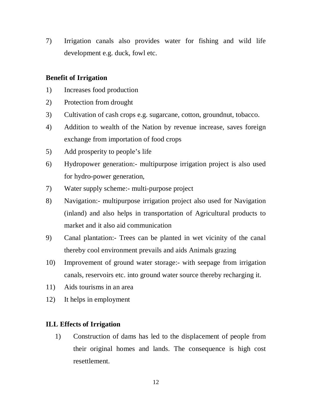7) Irrigation canals also provides water for fishing and wild life development e.g. duck, fowl etc.

#### **Benefit of Irrigation**

- 1) Increases food production
- 2) Protection from drought
- 3) Cultivation of cash crops e.g. sugarcane, cotton, groundnut, tobacco.
- 4) Addition to wealth of the Nation by revenue increase, saves foreign exchange from importation of food crops
- 5) Add prosperity to people's life
- 6) Hydropower generation:- multipurpose irrigation project is also used for hydro-power generation,
- 7) Water supply scheme:- multi-purpose project
- 8) Navigation:- multipurpose irrigation project also used for Navigation (inland) and also helps in transportation of Agricultural products to market and it also aid communication
- 9) Canal plantation:- Trees can be planted in wet vicinity of the canal thereby cool environment prevails and aids Animals grazing
- 10) Improvement of ground water storage:- with seepage from irrigation canals, reservoirs etc. into ground water source thereby recharging it.
- 11) Aids tourisms in an area
- 12) It helps in employment

#### **ILL Effects of Irrigation**

1) Construction of dams has led to the displacement of people from their original homes and lands. The consequence is high cost resettlement.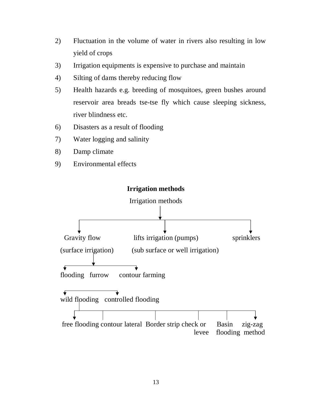- 2) Fluctuation in the volume of water in rivers also resulting in low yield of crops
- 3) Irrigation equipments is expensive to purchase and maintain
- 4) Silting of dams thereby reducing flow
- 5) Health hazards e.g. breeding of mosquitoes, green bushes around reservoir area breads tse-tse fly which cause sleeping sickness, river blindness etc.
- 6) Disasters as a result of flooding
- 7) Water logging and salinity
- 8) Damp climate
- 9) Environmental effects

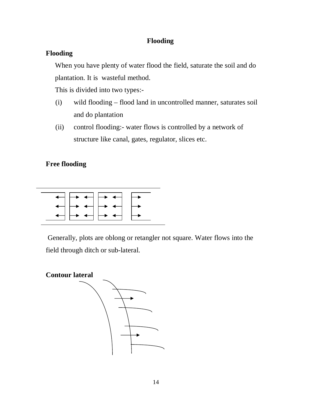### **Flooding**

### **Flooding**

When you have plenty of water flood the field, saturate the soil and do plantation. It is wasteful method.

This is divided into two types:-

- (i) wild flooding flood land in uncontrolled manner, saturates soil and do plantation
- (ii) control flooding:- water flows is controlled by a network of structure like canal, gates, regulator, slices etc.

## **Free flooding**



Generally, plots are oblong or retangler not square. Water flows into the field through ditch or sub-lateral.

**Contour lateral**

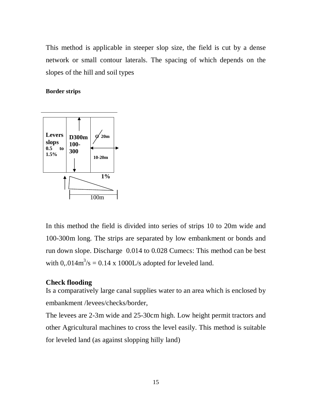This method is applicable in steeper slop size, the field is cut by a dense network or small contour laterals. The spacing of which depends on the slopes of the hill and soil types

#### **Border strips**



In this method the field is divided into series of strips 10 to 20m wide and 100-300m long. The strips are separated by low embankment or bonds and run down slope. Discharge 0.014 to 0.028 Cumecs: This method can be best with  $0, 014 \text{m}^3/\text{s} = 0.14 \text{ x } 1000 \text{ L/s}$  adopted for leveled land.

### **Check flooding**

Is a comparatively large canal supplies water to an area which is enclosed by embankment /levees/checks/border,

The levees are 2-3m wide and 25-30cm high. Low height permit tractors and other Agricultural machines to cross the level easily. This method is suitable for leveled land (as against slopping hilly land)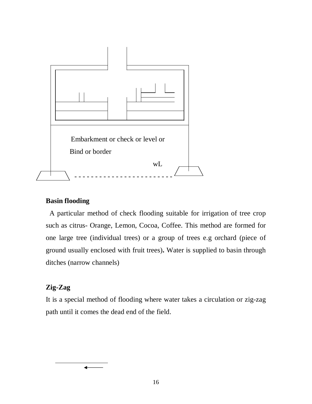

### **Basin flooding**

 A particular method of check flooding suitable for irrigation of tree crop such as citrus- Orange, Lemon, Cocoa, Coffee. This method are formed for one large tree (individual trees) or a group of trees e.g orchard (piece of ground usually enclosed with fruit trees)**.** Water is supplied to basin through ditches (narrow channels)

## **Zig-Zag**

It is a special method of flooding where water takes a circulation or zig-zag path until it comes the dead end of the field.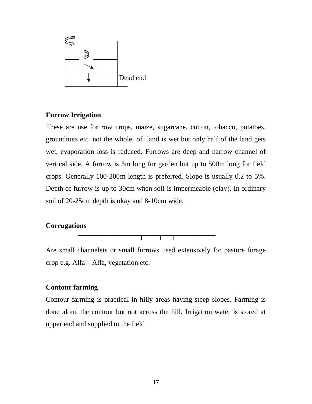

#### **Furrow Irrigation**

These are use for row crops, maize, sugarcane, cotton, tobacco, potatoes, groundnuts etc. not the whole of land is wet but only half of the land gets wet, evaporation loss is reduced. Furrows are deep and narrow channel of vertical side. A furrow is 3m long for garden but up to 500m long for field crops. Generally 100-200m length is preferred. Slope is usually 0.2 to 5%. Depth of furrow is up to 30cm when soil is impermeable (clay). In ordinary soil of 20-25cm depth is okay and 8-10cm wide.

#### **Corrugations**



Are small channelets or small furrows used extensively for pasture forage crop e.g. Alfa – Alfa, vegetation etc.

#### **Contour farming**

Contour farming is practical in hilly areas having steep slopes. Farming is done alone the contour but not across the hill. Irrigation water is stored at upper end and supplied to the field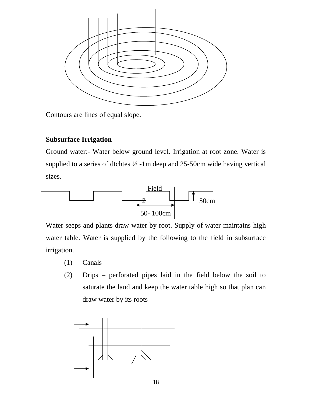

Contours are lines of equal slope.

### **Subsurface Irrigation**

Ground water:- Water below ground level. Irrigation at root zone. Water is supplied to a series of dtchtes ½ -1m deep and 25-50cm wide having vertical sizes.



Water seeps and plants draw water by root. Supply of water maintains high water table. Water is supplied by the following to the field in subsurface irrigation.

- (1) Canals
- (2) Drips perforated pipes laid in the field below the soil to saturate the land and keep the water table high so that plan can draw water by its roots

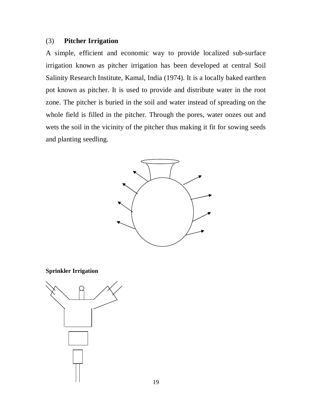#### (3) **Pitcher Irrigation**

A simple, efficient and economic way to provide localized sub-surface irrigation known as pitcher irrigation has been developed at central Soil Salinity Research Institute, Kamal, India (1974). It is a locally baked earthen pot known as pitcher. It is used to provide and distribute water in the root zone. The pitcher is buried in the soil and water instead of spreading on the whole field is filled in the pitcher. Through the pores, water oozes out and wets the soil in the vicinity of the pitcher thus making it fit for sowing seeds and planting seedling.





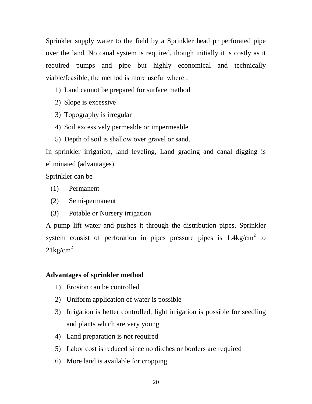Sprinkler supply water to the field by a Sprinkler head pr perforated pipe over the land, No canal system is required, though initially it is costly as it required pumps and pipe but highly economical and technically viable/feasible, the method is more useful where :

- 1) Land cannot be prepared for surface method
- 2) Slope is excessive
- 3) Topography is irregular
- 4) Soil excessively permeable or impermeable
- 5) Depth of soil is shallow over gravel or sand.

In sprinkler irrigation, land leveling, Land grading and canal digging is eliminated (advantages)

Sprinkler can be

- (1) Permanent
- (2) Semi-permanent
- (3) Potable or Nursery irrigation

A pump lift water and pushes it through the distribution pipes. Sprinkler system consist of perforation in pipes pressure pipes is  $1.4 \text{kg/cm}^2$  to  $21 \text{kg/cm}^2$ 

#### **Advantages of sprinkler method**

- 1) Erosion can be controlled
- 2) Uniform application of water is possible
- 3) Irrigation is better controlled, light irrigation is possible for seedling and plants which are very young
- 4) Land preparation is not required
- 5) Labor cost is reduced since no ditches or borders are required
- 6) More land is available for cropping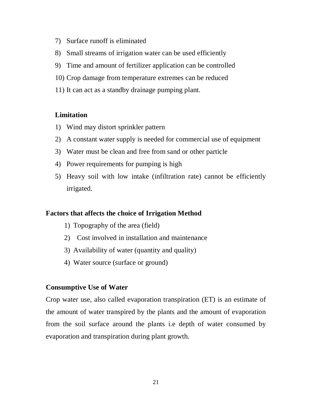- 7) Surface runoff is eliminated
- 8) Small streams of irrigation water can be used efficiently
- 9) Time and amount of fertilizer application can be controlled
- 10) Crop damage from temperature extremes can be reduced
- 11) It can act as a standby drainage pumping plant.

#### **Limitation**

- 1) Wind may distort sprinkler pattern
- 2) A constant water supply is needed for commercial use of equipment
- 3) Water must be clean and free from sand or other particle
- 4) Power requirements for pumping is high
- 5) Heavy soil with low intake (infiltration rate) cannot be efficiently irrigated.

#### **Factors that affects the choice of Irrigation Method**

- 1) Topography of the area (field)
- 2) Cost involved in installation and maintenance
- 3) Availability of water (quantity and quality)
- 4) Water source (surface or ground)

#### **Consumptive Use of Water**

Crop water use, also called evaporation transpiration (ET) is an estimate of the amount of water transpired by the plants and the amount of evaporation from the soil surface around the plants i.e depth of water consumed by evaporation and transpiration during plant growth.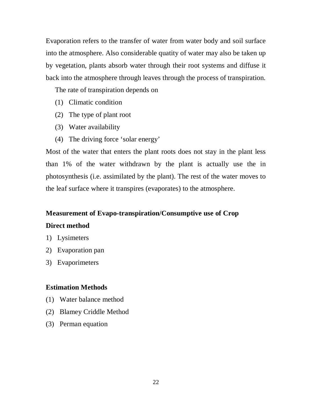Evaporation refers to the transfer of water from water body and soil surface into the atmosphere. Also considerable quatity of water may also be taken up by vegetation, plants absorb water through their root systems and diffuse it back into the atmosphere through leaves through the process of transpiration.

The rate of transpiration depends on

- (1) Climatic condition
- (2) The type of plant root
- (3) Water availability
- (4) The driving force 'solar energy'

Most of the water that enters the plant roots does not stay in the plant less than 1% of the water withdrawn by the plant is actually use the in photosynthesis (i.e. assimilated by the plant). The rest of the water moves to the leaf surface where it transpires (evaporates) to the atmosphere.

# **Measurement of Evapo-transpiration/Consumptive use of Crop Direct method**

- 1) Lysimeters
- 2) Evaporation pan
- 3) Evaporimeters

#### **Estimation Methods**

- (1) Water balance method
- (2) Blamey Criddle Method
- (3) Perman equation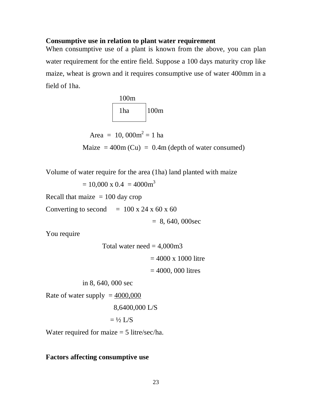#### **Consumptive use in relation to plant water requirement**

When consumptive use of a plant is known from the above, you can plan water requirement for the entire field. Suppose a 100 days maturity crop like maize, wheat is grown and it requires consumptive use of water 400mm in a field of 1ha.



Area = 10,  $000m^2 = 1$  ha

Maize  $= 400$ m (Cu)  $= 0.4$ m (depth of water consumed)

Volume of water require for the area (1ha) land planted with maize

 $= 10,000 \times 0.4 = 4000 \text{m}^3$ 

Recall that maize  $= 100$  day crop

Converting to second  $= 100 \times 24 \times 60 \times 60$ 

 $= 8, 640, 000$ sec

You require

Total water need  $= 4,000$ m3

 $= 4000 \times 1000$  litre

 $= 4000, 000$  litres

in 8, 640, 000 sec

Rate of water supply  $= 4000,000$ 

8,6400,000 L/S

 $=$  ½ L/S

Water required for maize = 5 litre/sec/ha.

#### **Factors affecting consumptive use**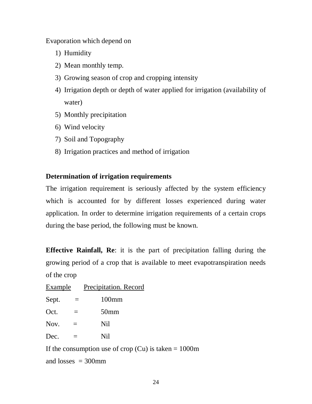Evaporation which depend on

- 1) Humidity
- 2) Mean monthly temp.
- 3) Growing season of crop and cropping intensity
- 4) Irrigation depth or depth of water applied for irrigation (availability of water)
- 5) Monthly precipitation
- 6) Wind velocity
- 7) Soil and Topography
- 8) Irrigation practices and method of irrigation

### **Determination of irrigation requirements**

The irrigation requirement is seriously affected by the system efficiency which is accounted for by different losses experienced during water application. In order to determine irrigation requirements of a certain crops during the base period, the following must be known.

**Effective Rainfall, Re**: it is the part of precipitation falling during the growing period of a crop that is available to meet evapotranspiration needs of the crop

| Example | Precipitation. Record |  |
|---------|-----------------------|--|
|         |                       |  |

| Sept. | $100$ mm |
|-------|----------|
|-------|----------|

| Oct. | 50 <sub>mm</sub> |
|------|------------------|
|      |                  |

 $Now. =$  Nil

Dec.  $=$  Nil

If the consumption use of crop  $(Cu)$  is taken = 1000m and  $losses = 300$ mm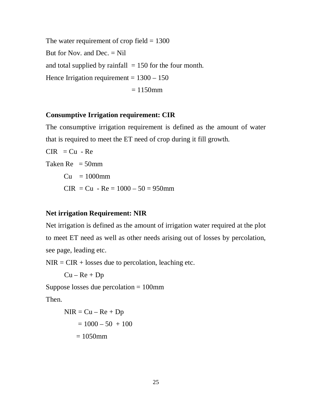The water requirement of crop field  $= 1300$ But for Nov. and Dec.  $=$  Nil and total supplied by rainfall  $= 150$  for the four month. Hence Irrigation requirement  $= 1300 - 150$  $= 1150$ mm

#### **Consumptive Irrigation requirement: CIR**

The consumptive irrigation requirement is defined as the amount of water that is required to meet the ET need of crop during it fill growth.

 $CIR = Cu - Re$ Taken  $Re = 50$ mm  $Cu = 1000$ mm  $CIR = Cu - Re = 1000 - 50 = 950$ mm

### **Net irrigation Requirement: NIR**

Net irrigation is defined as the amount of irrigation water required at the plot to meet ET need as well as other needs arising out of losses by percolation, see page, leading etc.

 $NIR = CIR + losses$  due to percolation, leaching etc.

 $Cu - Re + Dp$ 

Suppose losses due percolation = 100mm

Then.

$$
NIR = Cu - Re + Dp
$$

$$
= 1000 - 50 + 100
$$

$$
= 1050 mm
$$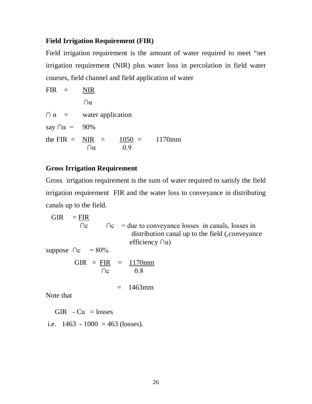#### **Field Irrigation Requirement (FIR)**

Field irrigation requirement is the amount of water required to meet "net irrigation requirement (NIR) plus water loss in percolation in field water courses, field channel and field application of water

| $FIR =$                  | NIR               |          |        |
|--------------------------|-------------------|----------|--------|
|                          | $\bigcap \alpha$  |          |        |
| $\bigcap \alpha =$       | water application |          |        |
| say $\cap \alpha = 90\%$ |                   |          |        |
| the FIR $=$ NIR $=$      |                   | $1050 =$ | 1170mm |
|                          |                   | 09       |        |

#### **Gross Irrigation Requirement**

Gross irrigation requirement is the sum of water required to satisfy the field irrigation requirement FIR and the water loss to conveyance in distributing canals up to the field.

 GIR = FIR ∩c ∩c = due to conveyance losses in canals, losses in distribution canal up to the field (,conveyance efficiency ∩u) suppose ∩c = 80% GIR = FIR = 1170mm ∩c 0.8 = 1463mm

Note that

GIR  $-Cu =$  losses

i.e.  $1463 - 1000 = 463$  (losses).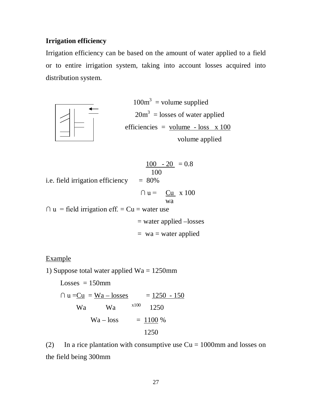#### **Irrigation efficiency**

Irrigation efficiency can be based on the amount of water applied to a field or to entire irrigation system, taking into account losses acquired into distribution system.



 $100m^3$  = volume supplied 20m<sup>3</sup> = losses of water applied efficiencies =  $volume - loss x 100$ </u> volume applied

i.e. field irrigation efficiency = 80%  
\n
$$
\frac{100 - 20}{100} = 0.8
$$
\n
$$
\cap u = \frac{Cu}{wa} \times 100
$$
\n
$$
\cap u = \text{field irrigation eff.} = Cu = \text{water use}
$$
\n
$$
= \text{water applied} - \text{losses}
$$
\n
$$
= wa = \text{water applied}
$$

#### Example

1) Suppose total water applied Wa = 1250mm

 $Losses = 150mm$  $\cap$  u = <u>Cu</u> = <u>Wa – losses</u> = 1250 - 150 Wa Wa x100 1250  $Wa - loss = 1100 %$ 1250

(2) In a rice plantation with consumptive use  $Cu = 1000$  mm and losses on the field being 300mm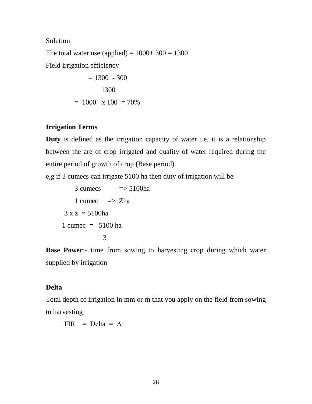#### **Solution**

The total water use (applied) =  $1000+300 = 1300$ Field irrigation efficiency

$$
= \frac{1300 - 300}{1300}
$$

$$
= 1000 \times 100 = 70\%
$$

### **Irrigation Terms**

**Duty** is defined as the irrigation capacity of water i.e. it is a relationship between the are of crop irrigated and quality of water required during the entire period of growth of crop (Base period).

e,g if 3 cumecs can irrigate 5100 ha then duty of irrigation will be

$$
3 \text{ cumes} \quad \Rightarrow 5100 \text{ha}
$$
\n
$$
1 \text{ cumec} \quad \Rightarrow \text{ Zha}
$$
\n
$$
3 \text{ x } \text{z} = 5100 \text{ha}
$$
\n
$$
1 \text{ cumec} = \frac{5100 \text{ ha}}{3}
$$

**Base Power**:- time from sowing to harvesting crop during which water supplied by irrigation

### **Delta**

Total depth of irrigation in mm or m that you apply on the field from sowing to harvesting

FIR = Delta =  $\Delta$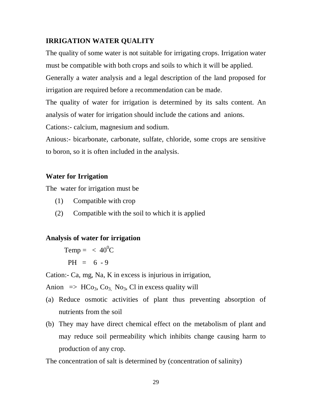### **IRRIGATION WATER QUALITY**

The quality of some water is not suitable for irrigating crops. Irrigation water must be compatible with both crops and soils to which it will be applied.

Generally a water analysis and a legal description of the land proposed for irrigation are required before a recommendation can be made.

The quality of water for irrigation is determined by its salts content. An analysis of water for irrigation should include the cations and anions.

Cations:- calcium, magnesium and sodium.

Anious:- bicarbonate, carbonate, sulfate, chloride, some crops are sensitive to boron, so it is often included in the analysis.

## **Water for Irrigation**

The water for irrigation must be

- (1) Compatible with crop
- (2) Compatible with the soil to which it is applied

## **Analysis of water for irrigation**

Temp =  $< 40^{\circ}$ C  $PH = 6 - 9$ 

Cation:- Ca, mg, Na, K in excess is injurious in irrigation,

Anion  $\Rightarrow$  HCo<sub>3</sub>, Co<sub>3</sub>, No<sub>3</sub>, Cl in excess quality will

- (a) Reduce osmotic activities of plant thus preventing absorption of nutrients from the soil
- (b) They may have direct chemical effect on the metabolism of plant and may reduce soil permeability which inhibits change causing harm to production of any crop.

The concentration of salt is determined by (concentration of salinity)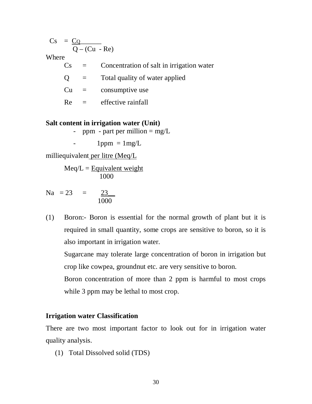$Cs = \underline{CQ}$  $Q - (Cu - Re)$ 

Where

| C <sub>S</sub> |                           | Concentration of salt in irrigation water |
|----------------|---------------------------|-------------------------------------------|
| $\mathbf{O}$   | $\mathbf{r} = \mathbf{r}$ | Total quality of water applied            |
|                | $Cu =$                    | consumptive use                           |
| Re             | and the second            | effective rainfall                        |
|                |                           |                                           |

#### **Salt content in irrigation water (Unit)**

- ppm - part per million  $=$  mg/L

 $-1$ ppm  $= 1$ mg/L

milliequivalent per litre (Meq/L

 $Meq/L =$  Equivalent weight 1000

Na =  $23 = 23$ 1000

(1) Boron:- Boron is essential for the normal growth of plant but it is required in small quantity, some crops are sensitive to boron, so it is also important in irrigation water.

Sugarcane may tolerate large concentration of boron in irrigation but crop like cowpea, groundnut etc. are very sensitive to boron.

Boron concentration of more than 2 ppm is harmful to most crops while 3 ppm may be lethal to most crop.

#### **Irrigation water Classification**

There are two most important factor to look out for in irrigation water quality analysis.

(1) Total Dissolved solid (TDS)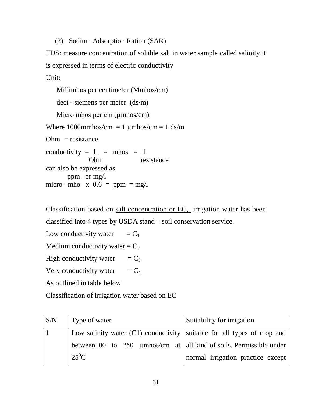(2) Sodium Adsorption Ration (SAR)

TDS: measure concentration of soluble salt in water sample called salinity it is expressed in terms of electric conductivity

Unit:

```
 Millimhos per centimeter (Mmhos/cm)
    deci - siemens per meter (ds/m)
   Micro mhos per cm (µmhos/cm)
Where 1000mmhos/cm = 1 \mumhos/cm = 1 ds/m
Ohm = resistanceconductivity = \frac{1}{1} = mhos = \frac{1}{1}Ohm resistance
can also be expressed as
       ppm or mg/l
micro –mho x 0.6 = ppm = mg/l
```
Classification based on salt concentration or EC, irrigation water has been classified into 4 types by USDA stand – soil conservation service.

Low conductivity water  $=C_1$ Medium conductivity water  $=C_2$ High conductivity water  $=C_3$ 

Very conductivity water  $=C_4$ 

As outlined in table below

Classification of irrigation water based on EC

| S/N | Type of water                                                              | Suitability for irrigation        |
|-----|----------------------------------------------------------------------------|-----------------------------------|
|     | Low salinity water $(C1)$ conductivity suitable for all types of crop and  |                                   |
|     | between 100 to 250 $\mu$ mhos/cm at   all kind of soils. Permissible under |                                   |
|     | $25^0C$                                                                    | normal irrigation practice except |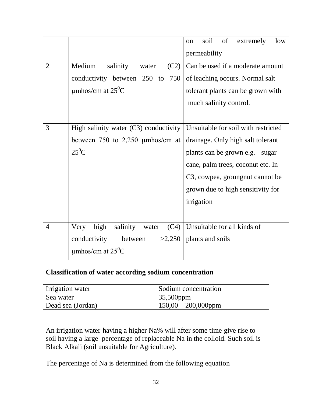|                |                                           | soil<br>of<br>extremely<br>low<br><sub>on</sub> |
|----------------|-------------------------------------------|-------------------------------------------------|
|                |                                           | permeability                                    |
| $\overline{2}$ | Medium<br>salinity<br>(C2)<br>water       | Can be used if a moderate amount                |
|                | conductivity between 250 to<br>750        | of leaching occurs. Normal salt                 |
|                | umhos/cm at $25^{\circ}$ C                | tolerant plants can be grown with               |
|                |                                           | much salinity control.                          |
|                |                                           |                                                 |
| 3              | High salinity water $(C3)$ conductivity   | Unsuitable for soil with restricted             |
|                | between 750 to 2,250 $\mu$ mhos/cm at     | drainage. Only high salt tolerant               |
|                | $25^0C$                                   | plants can be grown e.g. sugar                  |
|                |                                           | cane, palm trees, coconut etc. In               |
|                |                                           | C3, cowpea, groungnut cannot be                 |
|                |                                           | grown due to high sensitivity for               |
|                |                                           | irrigation                                      |
|                |                                           |                                                 |
| $\overline{4}$ | high<br>salinity<br>(C4)<br>Very<br>water | Unsuitable for all kinds of                     |
|                | conductivity<br>between<br>>2,250         | plants and soils                                |
|                | $\mu$ mhos/cm at 25 <sup>0</sup> C        |                                                 |

### **Classification of water according sodium concentration**

| Irrigation water  | Sodium concentration   |
|-------------------|------------------------|
| Sea water         | $\vert 35,500$ ppm     |
| Dead sea (Jordan) | $150,00 - 200,000$ ppm |

An irrigation water having a higher Na% will after some time give rise to soil having a large percentage of replaceable Na in the colloid. Such soil is Black Alkali (soil unsuitable for Agriculture).

The percentage of Na is determined from the following equation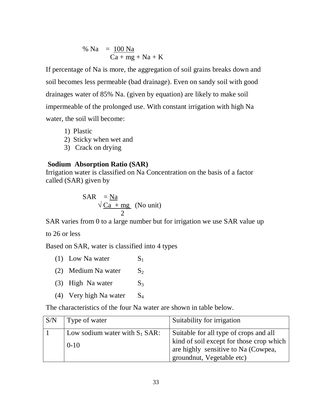$$
\% Na = \frac{100 Na}{Ca + mg + Na + K}
$$

If percentage of Na is more, the aggregation of soil grains breaks down and soil becomes less permeable (bad drainage). Even on sandy soil with good drainages water of 85% Na. (given by equation) are likely to make soil impermeable of the prolonged use. With constant irrigation with high Na water, the soil will become:

- 1) Plastic
- 2) Sticky when wet and
- 3) Crack on drying

#### **Sodium Absorption Ratio (SAR)**

Irrigation water is classified on Na Concentration on the basis of a factor called (SAR) given by

$$
SAR = \frac{Na}{\sqrt{Ca + mg}}
$$
 (No unit)

SAR varies from 0 to a large number but for irrigation we use SAR value up

to 26 or less

Based on SAR, water is classified into 4 types

| (1) Low Na water       | $S_1$          |
|------------------------|----------------|
| (2) Medium Na water    | $S_2$          |
| (3) High Na water      | S <sub>3</sub> |
| (4) Very high Na water | $S_4$          |
|                        |                |

The characteristics of the four Na water are shown in table below.

| S/N | Type of water                                | Suitability for irrigation                                                                                                                             |
|-----|----------------------------------------------|--------------------------------------------------------------------------------------------------------------------------------------------------------|
|     | Low sodium water with $S_1$ SAR:<br>$0 - 10$ | Suitable for all type of crops and all<br>kind of soil except for those crop which<br>are highly sensitive to Na (Cowpea,<br>groundnut, Vegetable etc) |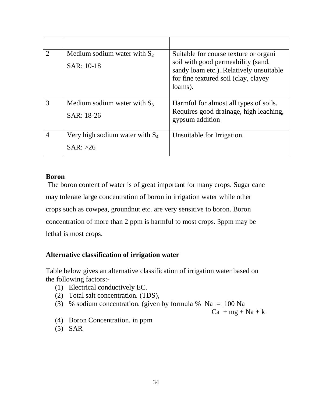|               | Medium sodium water with $S_2$<br>SAR: 10-18  | Suitable for course texture or organi<br>soil with good permeability (sand,<br>sandy loam etc.)Relatively unsuitable<br>for fine textured soil (clay, clayey<br>loams). |
|---------------|-----------------------------------------------|-------------------------------------------------------------------------------------------------------------------------------------------------------------------------|
| $\mathcal{R}$ | Medium sodium water with $S_3$<br>SAR: 18-26  | Harmful for almost all types of soils.<br>Requires good drainage, high leaching,<br>gypsum addition                                                                     |
| 4             | Very high sodium water with $S_4$<br>SAR: >26 | Unsuitable for Irrigation.                                                                                                                                              |

### **Boron**

The boron content of water is of great important for many crops. Sugar cane may tolerate large concentration of boron in irrigation water while other crops such as cowpea, groundnut etc. are very sensitive to boron. Boron concentration of more than 2 ppm is harmful to most crops. 3ppm may be lethal is most crops.

## **Alternative classification of irrigation water**

Table below gives an alternative classification of irrigation water based on the following factors:-

- (1) Electrical conductively EC.
- (2) Total salt concentration. (TDS),
- (3) % sodium concentration. (given by formula %  $Na = 100 Na$

 $Ca + mg + Na + k$ 

- (4) Boron Concentration. in ppm
- (5) SAR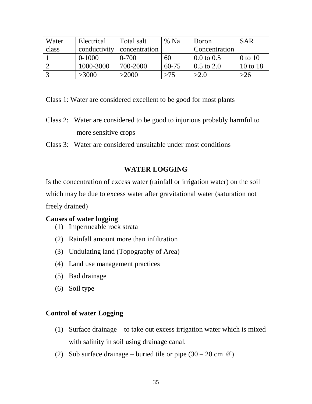| Water | Electrical   | Total salt    | % Na      | <b>Boron</b>          | <b>SAR</b>  |
|-------|--------------|---------------|-----------|-----------------------|-------------|
| class | conductivity | concentration |           | Concentration         |             |
|       | $0-1000$     | $0 - 700$     | 60        | $0.0 \text{ to } 0.5$ | $0$ to $10$ |
|       | 1000-3000    | 700-2000      | $60 - 75$ | $0.5 \text{ to } 2.0$ | 10 to 18    |
|       | >3000        | >2000         | >75       | >2.0                  | >26         |

Class 1: Water are considered excellent to be good for most plants

- Class 2: Water are considered to be good to injurious probably harmful to more sensitive crops
- Class 3: Water are considered unsuitable under most conditions

## **WATER LOGGING**

Is the concentration of excess water (rainfall or irrigation water) on the soil which may be due to excess water after gravitational water (saturation not freely drained)

### **Causes of water logging**

- (1) Impermeable rock strata
- (2) Rainfall amount more than infiltration
- (3) Undulating land (Topography of Area)
- (4) Land use management practices
- (5) Bad drainage
- (6) Soil type

### **Control of water Logging**

- (1) Surface drainage to take out excess irrigation water which is mixed with salinity in soil using drainage canal.
- (2) Sub surface drainage buried tile or pipe  $(30 20 \text{ cm } 0)$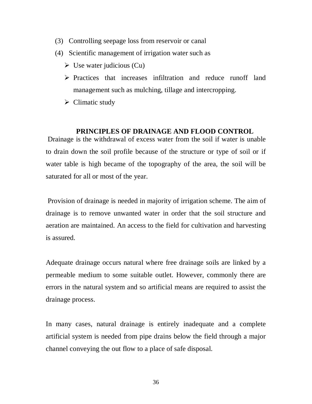- (3) Controlling seepage loss from reservoir or canal
- (4) Scientific management of irrigation water such as
	- $\triangleright$  Use water judicious (Cu)
	- $\triangleright$  Practices that increases infiltration and reduce runoff land management such as mulching, tillage and intercropping.
	- $\triangleright$  Climatic study

#### **PRINCIPLES OF DRAINAGE AND FLOOD CONTROL**

Drainage is the withdrawal of excess water from the soil if water is unable to drain down the soil profile because of the structure or type of soil or if water table is high became of the topography of the area, the soil will be saturated for all or most of the year.

Provision of drainage is needed in majority of irrigation scheme. The aim of drainage is to remove unwanted water in order that the soil structure and aeration are maintained. An access to the field for cultivation and harvesting is assured.

Adequate drainage occurs natural where free drainage soils are linked by a permeable medium to some suitable outlet. However, commonly there are errors in the natural system and so artificial means are required to assist the drainage process.

In many cases, natural drainage is entirely inadequate and a complete artificial system is needed from pipe drains below the field through a major channel conveying the out flow to a place of safe disposal.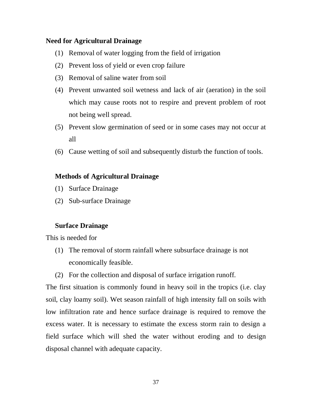#### **Need for Agricultural Drainage**

- (1) Removal of water logging from the field of irrigation
- (2) Prevent loss of yield or even crop failure
- (3) Removal of saline water from soil
- (4) Prevent unwanted soil wetness and lack of air (aeration) in the soil which may cause roots not to respire and prevent problem of root not being well spread.
- (5) Prevent slow germination of seed or in some cases may not occur at all
- (6) Cause wetting of soil and subsequently disturb the function of tools.

### **Methods of Agricultural Drainage**

- (1) Surface Drainage
- (2) Sub-surface Drainage

#### **Surface Drainage**

This is needed for

- (1) The removal of storm rainfall where subsurface drainage is not economically feasible.
- (2) For the collection and disposal of surface irrigation runoff.

The first situation is commonly found in heavy soil in the tropics (i.e. clay soil, clay loamy soil). Wet season rainfall of high intensity fall on soils with low infiltration rate and hence surface drainage is required to remove the excess water. It is necessary to estimate the excess storm rain to design a field surface which will shed the water without eroding and to design disposal channel with adequate capacity.